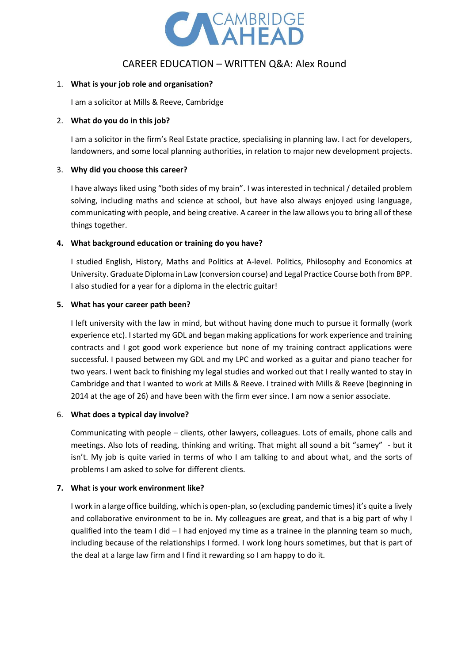

# CAREER EDUCATION – WRITTEN Q&A: Alex Round

#### 1. **What is your job role and organisation?**

I am a solicitor at Mills & Reeve, Cambridge

#### 2. **What do you do in this job?**

I am a solicitor in the firm's Real Estate practice, specialising in planning law. I act for developers, landowners, and some local planning authorities, in relation to major new development projects.

#### 3. **Why did you choose this career?**

I have always liked using "both sides of my brain". I was interested in technical / detailed problem solving, including maths and science at school, but have also always enjoyed using language, communicating with people, and being creative. A career in the law allows you to bring all of these things together.

#### **4. What background education or training do you have?**

I studied English, History, Maths and Politics at A-level. Politics, Philosophy and Economics at University. Graduate Diploma in Law (conversion course) and Legal Practice Course both from BPP. I also studied for a year for a diploma in the electric guitar!

#### **5. What has your career path been?**

I left university with the law in mind, but without having done much to pursue it formally (work experience etc). I started my GDL and began making applications for work experience and training contracts and I got good work experience but none of my training contract applications were successful. I paused between my GDL and my LPC and worked as a guitar and piano teacher for two years. I went back to finishing my legal studies and worked out that I really wanted to stay in Cambridge and that I wanted to work at Mills & Reeve. I trained with Mills & Reeve (beginning in 2014 at the age of 26) and have been with the firm ever since. I am now a senior associate.

#### 6. **What does a typical day involve?**

Communicating with people – clients, other lawyers, colleagues. Lots of emails, phone calls and meetings. Also lots of reading, thinking and writing. That might all sound a bit "samey" - but it isn't. My job is quite varied in terms of who I am talking to and about what, and the sorts of problems I am asked to solve for different clients.

#### **7. What is your work environment like?**

I work in a large office building, which is open-plan, so (excluding pandemic times) it's quite a lively and collaborative environment to be in. My colleagues are great, and that is a big part of why I qualified into the team I did – I had enjoyed my time as a trainee in the planning team so much, including because of the relationships I formed. I work long hours sometimes, but that is part of the deal at a large law firm and I find it rewarding so I am happy to do it.